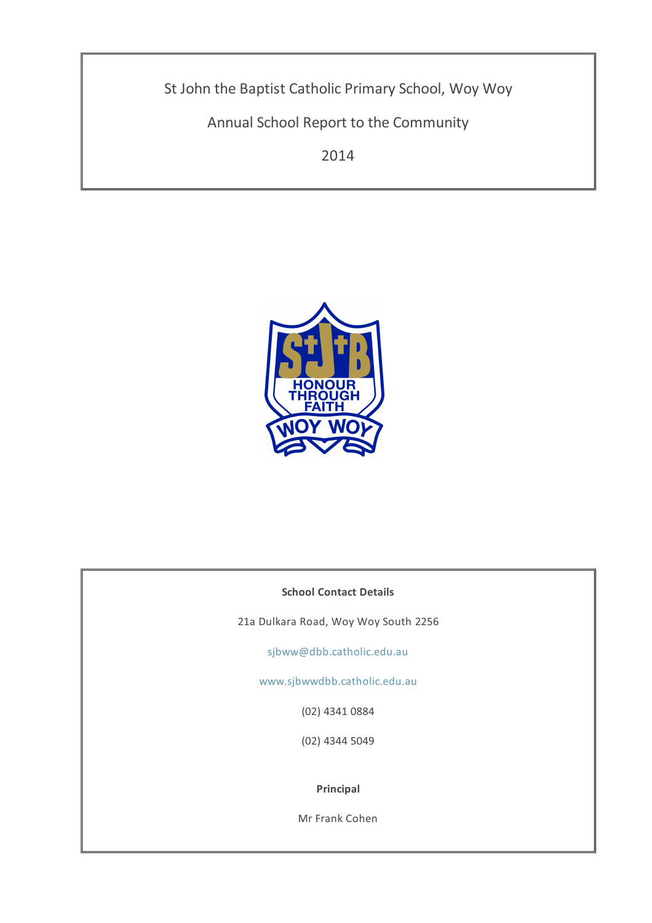St John the Baptist Catholic Primary School, Woy Woy

Annual School Report to the Community

2014



## **School Contact Details**

21a Dulkara Road, Woy Woy South 2256

[sjbww@dbb.catholic.edu.au](mailto: sjbww@dbb.catholic.edu.au)

[www.sjbwwdbb.catholic.edu.au](http://asr.dbb.org.au/Reports/Print/332/www.sjbwwdbb.catholic.edu.au)

(02) 4341 0884

(02) 4344 5049

**Principal**

Mr Frank Cohen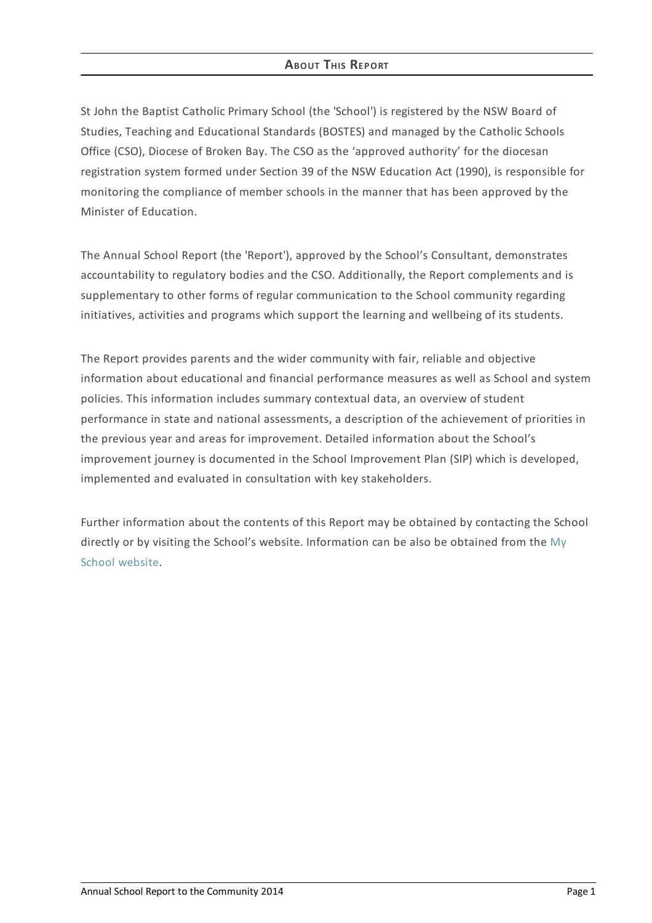## **ABOUT THIS REPORT**

St John the Baptist Catholic Primary School (the 'School') is registered by the NSW Board of Studies, Teaching and Educational Standards (BOSTES) and managed by the Catholic Schools Office (CSO), Diocese of Broken Bay. The CSO as the 'approved authority' for the diocesan registration system formed under Section 39 of the NSW Education Act (1990), is responsible for monitoring the compliance of member schools in the manner that has been approved by the Minister of Education.

The Annual School Report (the 'Report'), approved by the School's Consultant, demonstrates accountability to regulatory bodies and the CSO. Additionally, the Report complements and is supplementary to other forms of regular communication to the School community regarding initiatives, activities and programs which support the learning and wellbeing of its students.

The Report provides parents and the wider community with fair, reliable and objective information about educational and financial performance measures as well as School and system policies. This information includes summary contextual data, an overview of student performance in state and national assessments, a description of the achievement of priorities in the previous year and areas for improvement. Detailed information about the School's improvement journey is documented in the School Improvement Plan (SIP) which is developed, implemented and evaluated in consultation with key stakeholders.

Further information about the contents of this Report may be obtained by contacting the School directly or by visiting the School's website. [Information](http://www.myschool.edu.au/) can be also be obtained from the My School website.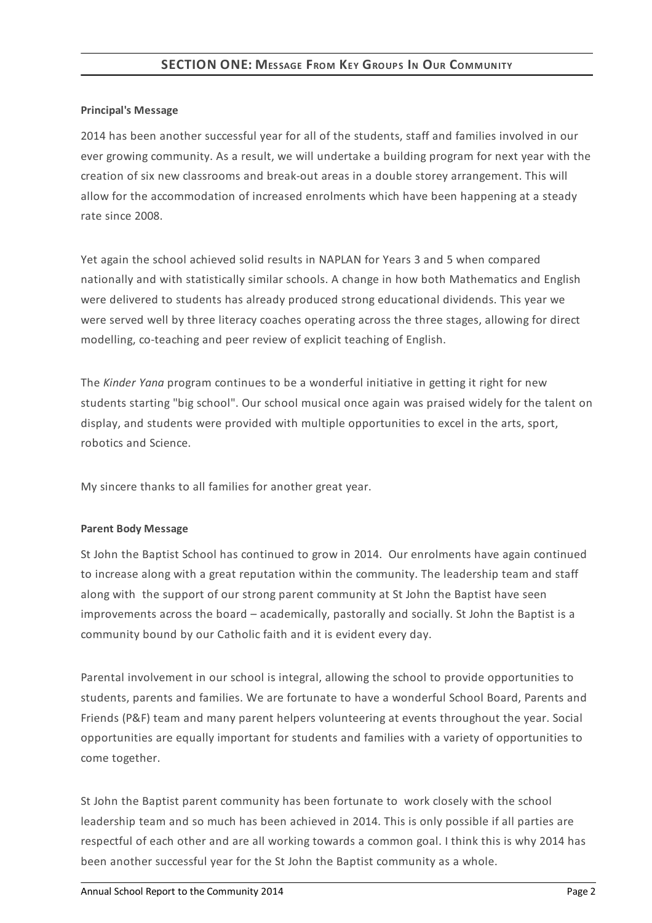## **Principal's Message**

2014 has been another successful year for all of the students, staff and families involved in our ever growing community. As a result, we will undertake a building program for next year with the creation of six new classrooms and break-out areas in a double storey arrangement. This will allow for the accommodation of increased enrolments which have been happening at a steady rate since 2008.

Yet again the school achieved solid results in NAPLAN for Years 3 and 5 when compared nationally and with statistically similar schools. A change in how both Mathematics and English were delivered to students has already produced strong educational dividends. This year we were served well by three literacy coaches operating across the three stages, allowing for direct modelling, co-teaching and peer review of explicit teaching of English.

The *Kinder Yana* program continues to be a wonderful initiative in getting it right for new students starting "big school". Our school musical once again was praised widely for the talent on display, and students were provided with multiple opportunities to excel in the arts, sport, robotics and Science.

My sincere thanks to all families for another great year.

## **Parent Body Message**

St John the Baptist School has continued to grow in 2014. Our enrolments have again continued to increase along with a great reputation within the community. The leadership team and staff along with the support of our strong parent community at St John the Baptist have seen improvements across the board – academically, pastorally and socially. St John the Baptist is a community bound by our Catholic faith and it is evident every day.

Parental involvement in our school is integral, allowing the school to provide opportunities to students, parents and families. We are fortunate to have a wonderful School Board, Parents and Friends (P&F) team and many parent helpers volunteering at events throughout the year. Social opportunities are equally important for students and families with a variety of opportunities to come together.

St John the Baptist parent community has been fortunate to work closely with the school leadership team and so much has been achieved in 2014. This is only possible if all parties are respectful of each other and are all working towards a common goal. I think this is why 2014 has been another successful year for the St John the Baptist community as a whole.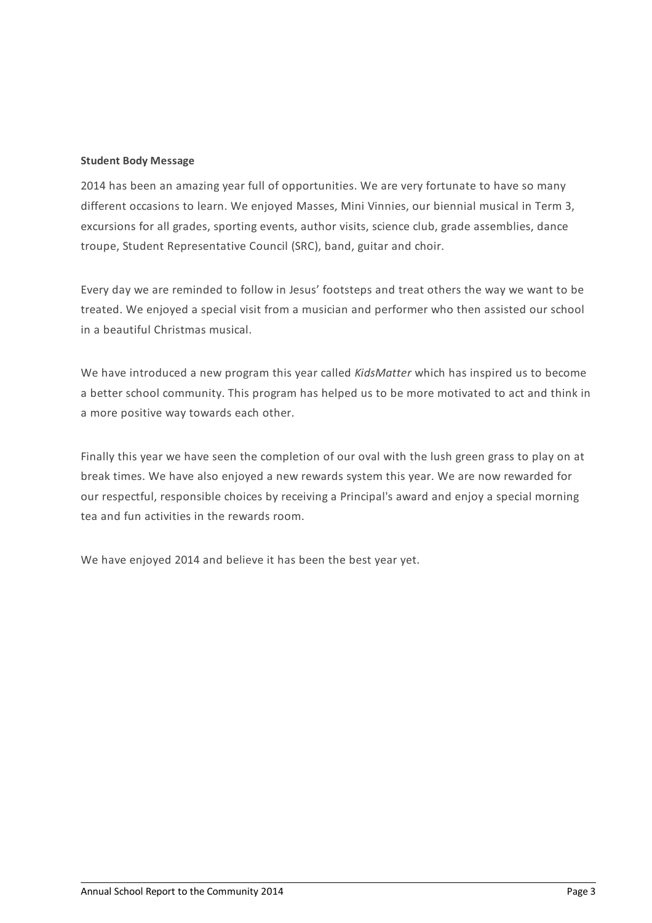### **Student Body Message**

2014 has been an amazing year full of opportunities. We are very fortunate to have so many different occasions to learn. We enjoyed Masses, Mini Vinnies, our biennial musical in Term 3, excursions for all grades, sporting events, author visits, science club, grade assemblies, dance troupe, Student Representative Council (SRC), band, guitar and choir.

Every day we are reminded to follow in Jesus' footsteps and treat others the way we want to be treated. We enjoyed a special visit from a musician and performer who then assisted our school in a beautiful Christmas musical.

We have introduced a new program this year called *KidsMatter* which has inspired us to become a better school community. This program has helped us to be more motivated to act and think in a more positive way towards each other.

Finally this year we have seen the completion of our oval with the lush green grass to play on at break times. We have also enjoyed a new rewards system this year. We are now rewarded for our respectful, responsible choices by receiving a Principal's award and enjoy a special morning tea and fun activities in the rewards room.

We have enjoyed 2014 and believe it has been the best year yet.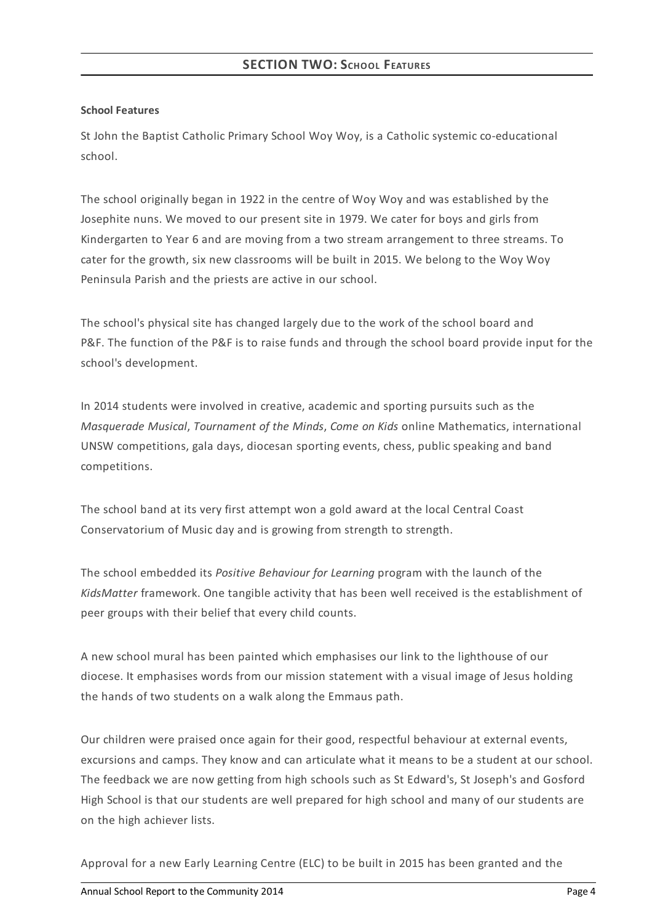### **School Features**

St John the Baptist Catholic Primary School Woy Woy, is a Catholic systemic co-educational school.

The school originally began in 1922 in the centre of Woy Woy and was established by the Josephite nuns. We moved to our present site in 1979. We cater for boys and girls from Kindergarten to Year 6 and are moving from a two stream arrangement to three streams. To cater for the growth, six new classrooms will be built in 2015. We belong to the Woy Woy Peninsula Parish and the priests are active in our school.

The school's physical site has changed largely due to the work of the school board and P&F. The function of the P&F is to raise funds and through the school board provide input for the school's development.

In 2014 students were involved in creative, academic and sporting pursuits such as the *Masquerade Musical*, *Tournament of the Minds*, *Come on Kids* online Mathematics, international UNSW competitions, gala days, diocesan sporting events, chess, public speaking and band competitions.

The school band at its very first attempt won a gold award at the local Central Coast Conservatorium of Music day and is growing from strength to strength.

The school embedded its *Positive Behaviour for Learning* program with the launch of the *KidsMatter* framework. One tangible activity that has been well received is the establishment of peer groups with their belief that every child counts.

A new school mural has been painted which emphasises our link to the lighthouse of our diocese. It emphasises words from our mission statement with a visual image of Jesus holding the hands of two students on a walk along the Emmaus path.

Our children were praised once again for their good, respectful behaviour at external events, excursions and camps. They know and can articulate what it means to be a student at our school. The feedback we are now getting from high schools such as St Edward's, St Joseph's and Gosford High School is that our students are well prepared for high school and many of our students are on the high achiever lists.

Approval for a new Early Learning Centre (ELC) to be built in 2015 has been granted and the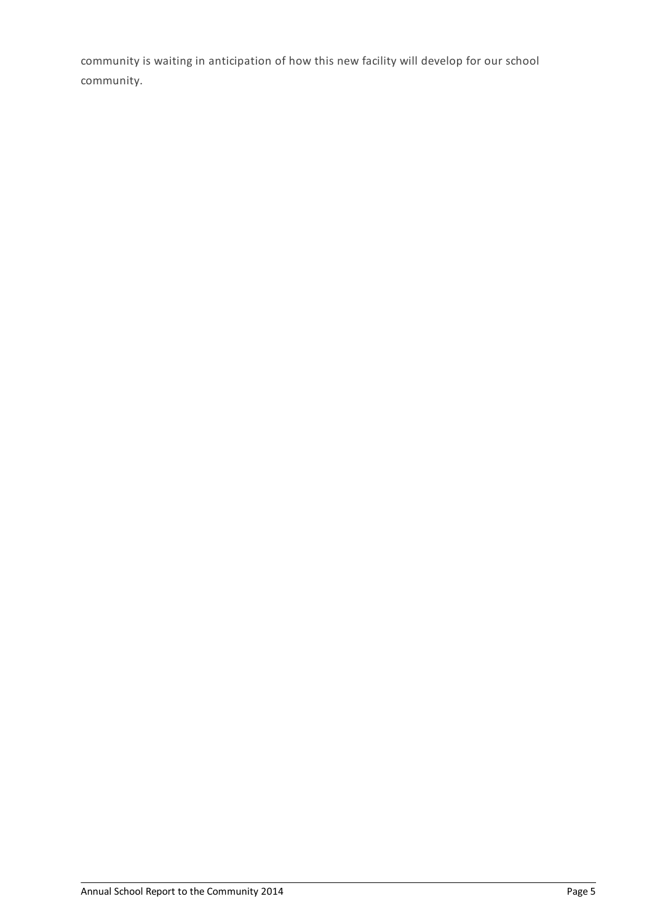community is waiting in anticipation of how this new facility will develop for our school community.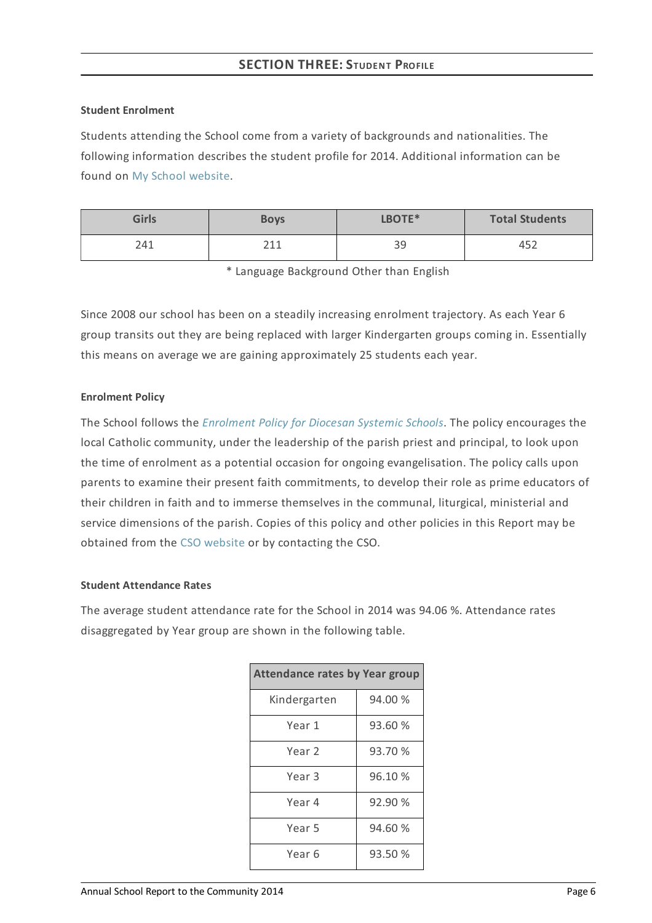### **Student Enrolment**

Students attending the School come from a variety of backgrounds and nationalities. The following information describes the student profile for 2014. Additional information can be found on My School [website](http://www.myschool.edu.au/).

| <b>Girls</b> | <b>Boys</b>  | LBOTE* | <b>Total Students</b> |
|--------------|--------------|--------|-----------------------|
| 241          | 711          | RΩ     | 452                   |
|              | <u>_ _ _</u> | ر ر    | ャンム                   |

\* Language Background Other than English

Since 2008 our school has been on a steadily increasing enrolment trajectory. As each Year 6 group transits out they are being replaced with larger Kindergarten groups coming in. Essentially this means on average we are gaining approximately 25 students each year.

## **Enrolment Policy**

The School follows the *[Enrolment](https://www.csodbb.catholic.edu.au/about/dsp-collection.cfm?loadref=125) Policy for Diocesan Systemic Schools*. The policy encourages the local Catholic community, under the leadership of the parish priest and principal, to look upon the time of enrolment as a potential occasion for ongoing evangelisation. The policy calls upon parents to examine their present faith commitments, to develop their role as prime educators of their children in faith and to immerse themselves in the communal, liturgical, ministerial and service dimensions of the parish. Copies of this policy and other policies in this Report may be obtained from the CSO [website](https://www.csodbb.catholic.edu.au/index.cfm) or by contacting the CSO.

## **Student Attendance Rates**

The average student attendance rate for the School in 2014 was 94.06 %. Attendance rates disaggregated by Year group are shown in the following table.

| <b>Attendance rates by Year group</b> |         |  |  |
|---------------------------------------|---------|--|--|
| Kindergarten                          | 94.00 % |  |  |
| Year 1                                | 93.60 % |  |  |
| Year <sub>2</sub>                     | 93.70 % |  |  |
| Year 3                                | 96.10 % |  |  |
| Year 4                                | 92.90 % |  |  |
| Year 5                                | 94.60 % |  |  |
| Year 6                                | 93.50 % |  |  |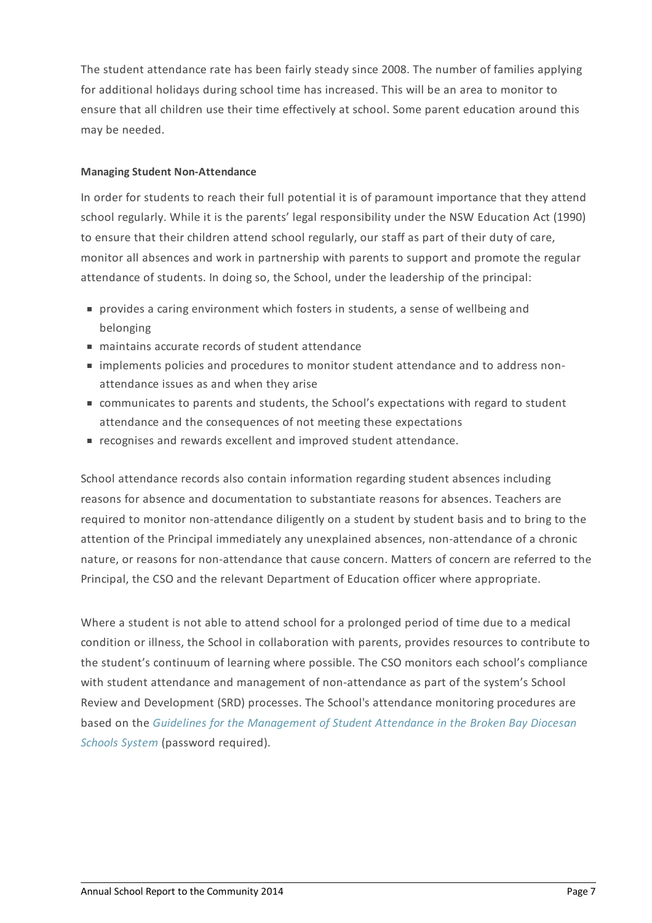The student attendance rate has been fairly steady since 2008. The number of families applying for additional holidays during school time has increased. This will be an area to monitor to ensure that all children use their time effectively at school. Some parent education around this may be needed.

## **Managing Student Non-Attendance**

In order for students to reach their full potential it is of paramount importance that they attend school regularly. While it is the parents' legal responsibility under the NSW Education Act (1990) to ensure that their children attend school regularly, our staff as part of their duty of care, monitor all absences and work in partnership with parents to support and promote the regular attendance of students. In doing so, the School, under the leadership of the principal:

- provides a caring environment which fosters in students, a sense of wellbeing and belonging
- maintains accurate records of student attendance
- implements policies and procedures to monitor student attendance and to address nonattendance issues as and when they arise
- communicates to parents and students, the School's expectations with regard to student attendance and the consequences of not meeting these expectations
- recognises and rewards excellent and improved student attendance.

School attendance records also contain information regarding student absences including reasons for absence and documentation to substantiate reasons for absences. Teachers are required to monitor non-attendance diligently on a student by student basis and to bring to the attention of the Principal immediately any unexplained absences, non-attendance of a chronic nature, or reasons for non-attendance that cause concern. Matters of concern are referred to the Principal, the CSO and the relevant Department of Education officer where appropriate.

Where a student is not able to attend school for a prolonged period of time due to a medical condition or illness, the School in collaboration with parents, provides resources to contribute to the student's continuum of learning where possible. The CSO monitors each school's compliance with student attendance and management of non-attendance as part of the system's School Review and Development (SRD) processes. The School's attendance monitoring procedures are based on the *Guidelines for the [Management](http://srd.dbbcso.org/attendance--enrolment.html) of Student Attendance in the Broken Bay Diocesan Schools System* (password required).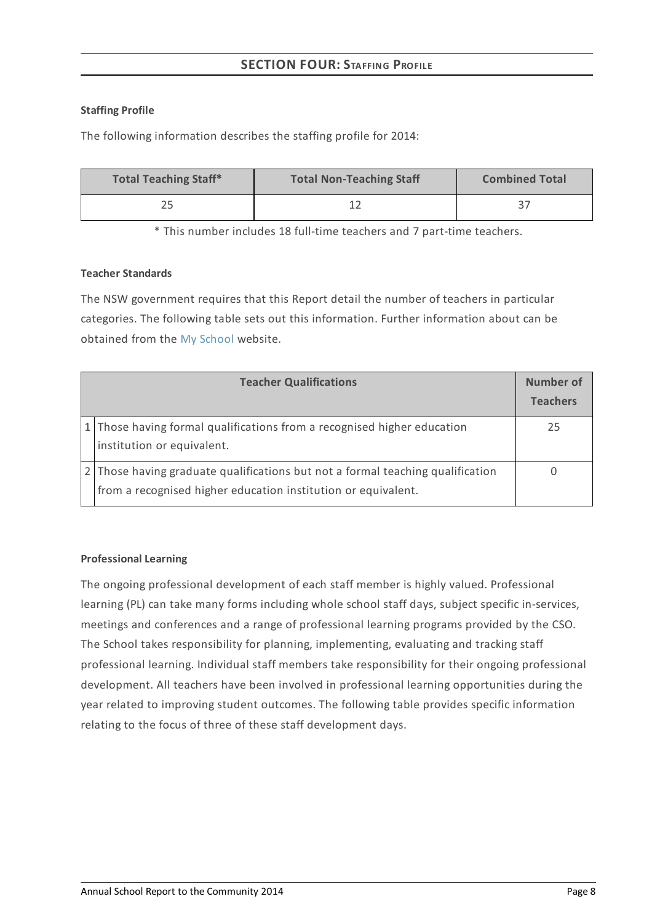# **SECTION FOUR:STAFFING PROFILE**

## **Staffing Profile**

The following information describes the staffing profile for 2014:

| <b>Total Teaching Staff*</b> | <b>Total Non-Teaching Staff</b> | <b>Combined Total</b> |
|------------------------------|---------------------------------|-----------------------|
|                              |                                 |                       |

\* This number includes 18 full-time teachers and 7 part-time teachers.

## **Teacher Standards**

The NSW government requires that this Report detail the number of teachers in particular categories. The following table sets out this information. Further information about can be obtained from the My [School](http://www.myschool.edu.au/) website.

| <b>Teacher Qualifications</b>                                                                                                                   | Number of<br><b>Teachers</b> |
|-------------------------------------------------------------------------------------------------------------------------------------------------|------------------------------|
| 1 Those having formal qualifications from a recognised higher education<br>institution or equivalent.                                           | 25                           |
| 2 Those having graduate qualifications but not a formal teaching qualification<br>from a recognised higher education institution or equivalent. |                              |

## **Professional Learning**

The ongoing professional development of each staff member is highly valued. Professional learning (PL) can take many forms including whole school staff days, subject specific in-services, meetings and conferences and a range of professional learning programs provided by the CSO. The School takes responsibility for planning, implementing, evaluating and tracking staff professional learning. Individual staff members take responsibility for their ongoing professional development. All teachers have been involved in professional learning opportunities during the year related to improving student outcomes. The following table provides specific information relating to the focus of three of these staff development days.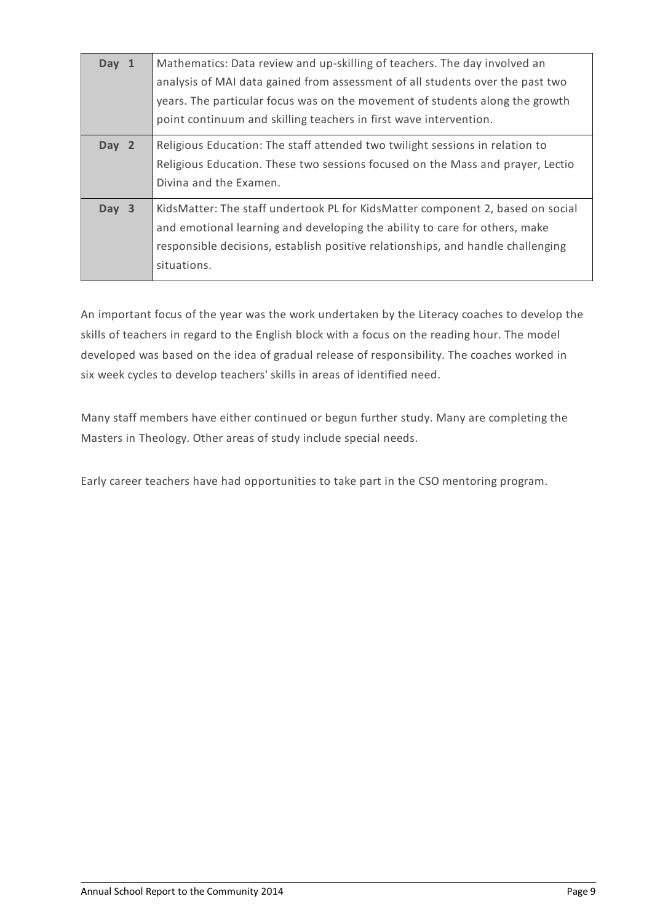| Day 1 | Mathematics: Data review and up-skilling of teachers. The day involved an<br>analysis of MAI data gained from assessment of all students over the past two<br>years. The particular focus was on the movement of students along the growth<br>point continuum and skilling teachers in first wave intervention. |
|-------|-----------------------------------------------------------------------------------------------------------------------------------------------------------------------------------------------------------------------------------------------------------------------------------------------------------------|
| Day 2 | Religious Education: The staff attended two twilight sessions in relation to<br>Religious Education. These two sessions focused on the Mass and prayer, Lectio<br>Divina and the Examen.                                                                                                                        |
| Day 3 | KidsMatter: The staff undertook PL for KidsMatter component 2, based on social<br>and emotional learning and developing the ability to care for others, make<br>responsible decisions, establish positive relationships, and handle challenging<br>situations.                                                  |

An important focus of the year was the work undertaken by the Literacy coaches to develop the skills of teachers in regard to the English block with a focus on the reading hour. The model developed was based on the idea of gradual release of responsibility. The coaches worked in six week cycles to develop teachers' skills in areas of identified need.

Many staff members have either continued or begun further study. Many are completing the Masters in Theology. Other areas of study include special needs.

Early career teachers have had opportunities to take part in the CSO mentoring program.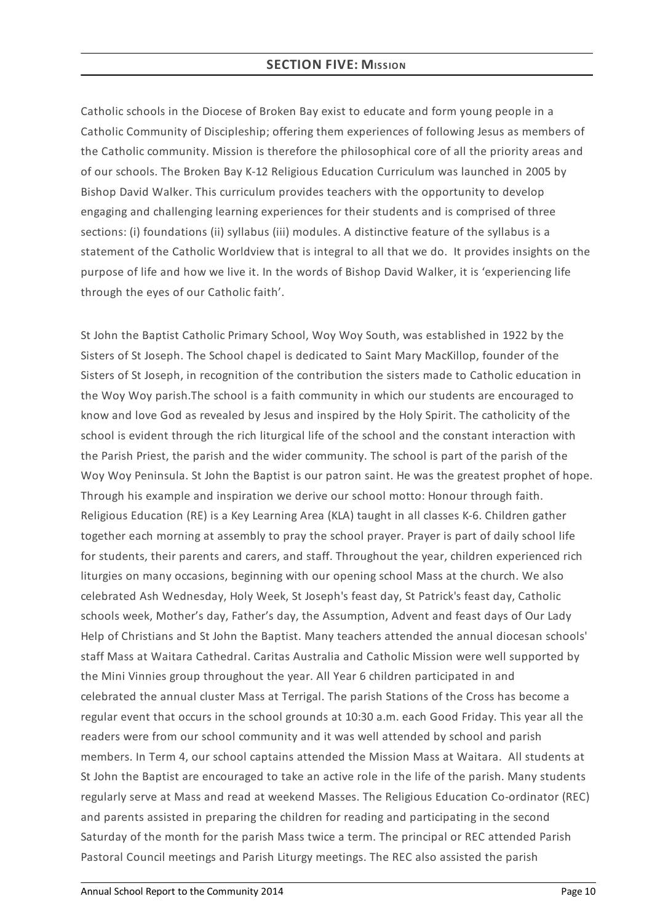## **SECTION FIVE: MISSION**

Catholic schools in the Diocese of Broken Bay exist to educate and form young people in a Catholic Community of Discipleship; offering them experiences of following Jesus as members of the Catholic community. Mission is therefore the philosophical core of all the priority areas and of our schools. The Broken Bay K-12 Religious Education Curriculum was launched in 2005 by Bishop David Walker. This curriculum provides teachers with the opportunity to develop engaging and challenging learning experiences for their students and is comprised of three sections: (i) foundations (ii) syllabus (iii) modules. A distinctive feature of the syllabus is a statement of the Catholic Worldview that is integral to all that we do. It provides insights on the purpose of life and how we live it. In the words of Bishop David Walker, it is 'experiencing life through the eyes of our Catholic faith'.

St John the Baptist Catholic Primary School, Woy Woy South, was established in 1922 by the Sisters of St Joseph. The School chapel is dedicated to Saint Mary MacKillop, founder of the Sisters of St Joseph, in recognition of the contribution the sisters made to Catholic education in the Woy Woy parish.The school is a faith community in which our students are encouraged to know and love God as revealed by Jesus and inspired by the Holy Spirit. The catholicity of the school is evident through the rich liturgical life of the school and the constant interaction with the Parish Priest, the parish and the wider community. The school is part of the parish of the Woy Woy Peninsula. St John the Baptist is our patron saint. He was the greatest prophet of hope. Through his example and inspiration we derive our school motto: Honour through faith. Religious Education (RE) is a Key Learning Area (KLA) taught in all classes K-6. Children gather together each morning at assembly to pray the school prayer. Prayer is part of daily school life for students, their parents and carers, and staff. Throughout the year, children experienced rich liturgies on many occasions, beginning with our opening school Mass at the church. We also celebrated Ash Wednesday, Holy Week, St Joseph's feast day, St Patrick's feast day, Catholic schools week, Mother's day, Father's day, the Assumption, Advent and feast days of Our Lady Help of Christians and St John the Baptist. Many teachers attended the annual diocesan schools' staff Mass at Waitara Cathedral. Caritas Australia and Catholic Mission were well supported by the Mini Vinnies group throughout the year. All Year 6 children participated in and celebrated the annual cluster Mass at Terrigal. The parish Stations of the Cross has become a regular event that occurs in the school grounds at 10:30 a.m. each Good Friday. This year all the readers were from our school community and it was well attended by school and parish members. In Term 4, our school captains attended the Mission Mass at Waitara. All students at St John the Baptist are encouraged to take an active role in the life of the parish. Many students regularly serve at Mass and read at weekend Masses. The Religious Education Co-ordinator (REC) and parents assisted in preparing the children for reading and participating in the second Saturday of the month for the parish Mass twice a term. The principal or REC attended Parish Pastoral Council meetings and Parish Liturgy meetings. The REC also assisted the parish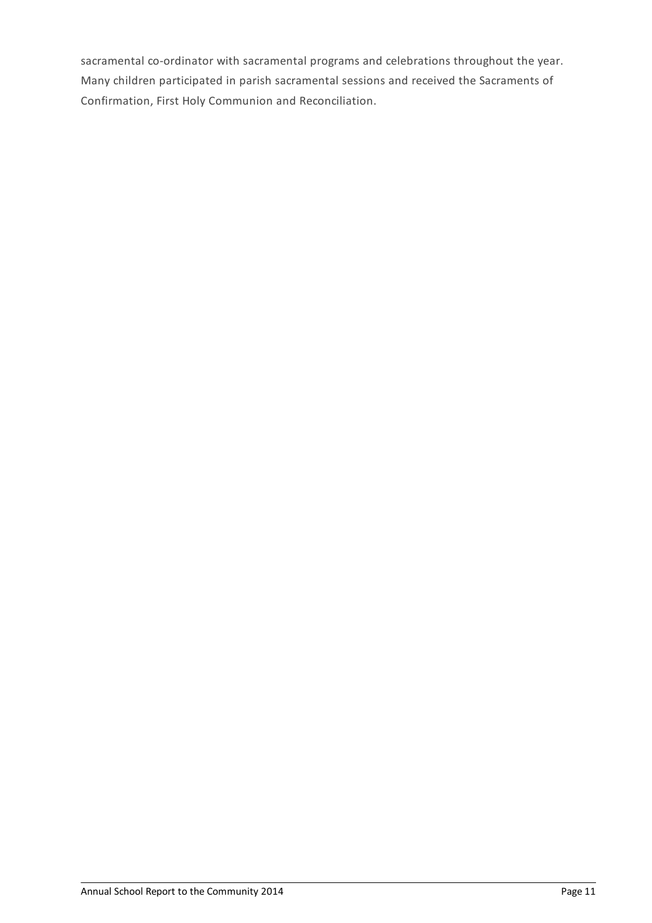sacramental co-ordinator with sacramental programs and celebrations throughout the year. Many children participated in parish sacramental sessions and received the Sacraments of Confirmation, First Holy Communion and Reconciliation.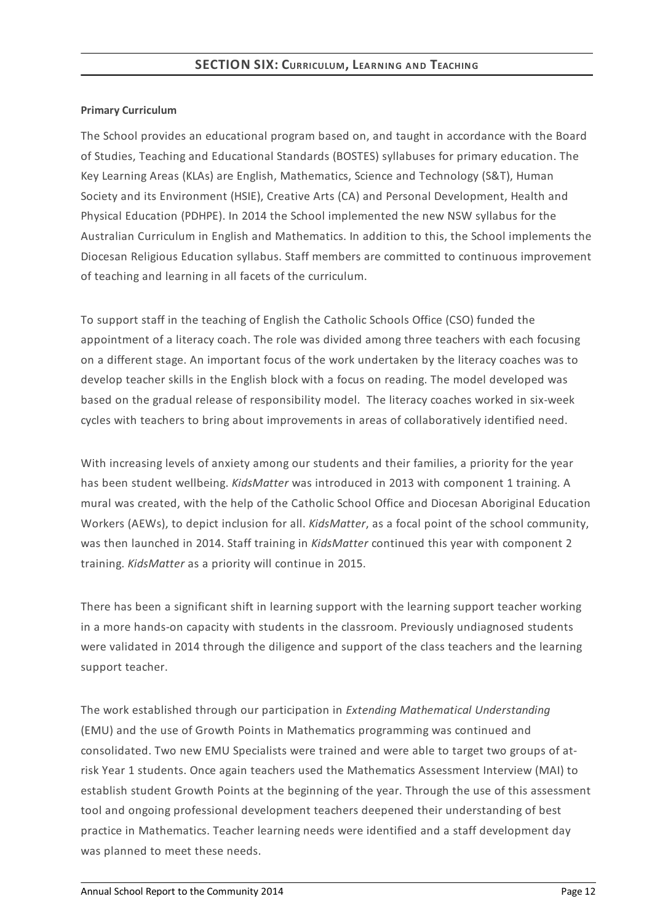## **Primary Curriculum**

The School provides an educational program based on, and taught in accordance with the Board of Studies, Teaching and Educational Standards (BOSTES) syllabuses for primary education. The Key Learning Areas (KLAs) are English, Mathematics, Science and Technology (S&T), Human Society and its Environment (HSIE), Creative Arts (CA) and Personal Development, Health and Physical Education (PDHPE). In 2014 the School implemented the new NSW syllabus for the Australian Curriculum in English and Mathematics. In addition to this, the School implements the Diocesan Religious Education syllabus. Staff members are committed to continuous improvement of teaching and learning in all facets of the curriculum.

To support staff in the teaching of English the Catholic Schools Office (CSO) funded the appointment of a literacy coach. The role was divided among three teachers with each focusing on a different stage. An important focus of the work undertaken by the literacy coaches was to develop teacher skills in the English block with a focus on reading. The model developed was based on the gradual release of responsibility model. The literacy coaches worked in six-week cycles with teachers to bring about improvements in areas of collaboratively identified need.

With increasing levels of anxiety among our students and their families, a priority for the year has been student wellbeing. *KidsMatter* was introduced in 2013 with component 1 training. A mural was created, with the help of the Catholic School Office and Diocesan Aboriginal Education Workers (AEWs), to depict inclusion for all. *KidsMatter*, as a focal point of the school community, was then launched in 2014. Staff training in *KidsMatter* continued this year with component 2 training. *KidsMatter* as a priority will continue in 2015.

There has been a significant shift in learning support with the learning support teacher working in a more hands-on capacity with students in the classroom. Previously undiagnosed students were validated in 2014 through the diligence and support of the class teachers and the learning support teacher.

The work established through our participation in *Extending Mathematical Understanding* (EMU) and the use of Growth Points in Mathematics programming was continued and consolidated. Two new EMU Specialists were trained and were able to target two groups of atrisk Year 1 students. Once again teachers used the Mathematics Assessment Interview (MAI) to establish student Growth Points at the beginning of the year. Through the use of this assessment tool and ongoing professional development teachers deepened their understanding of best practice in Mathematics. Teacher learning needs were identified and a staff development day was planned to meet these needs.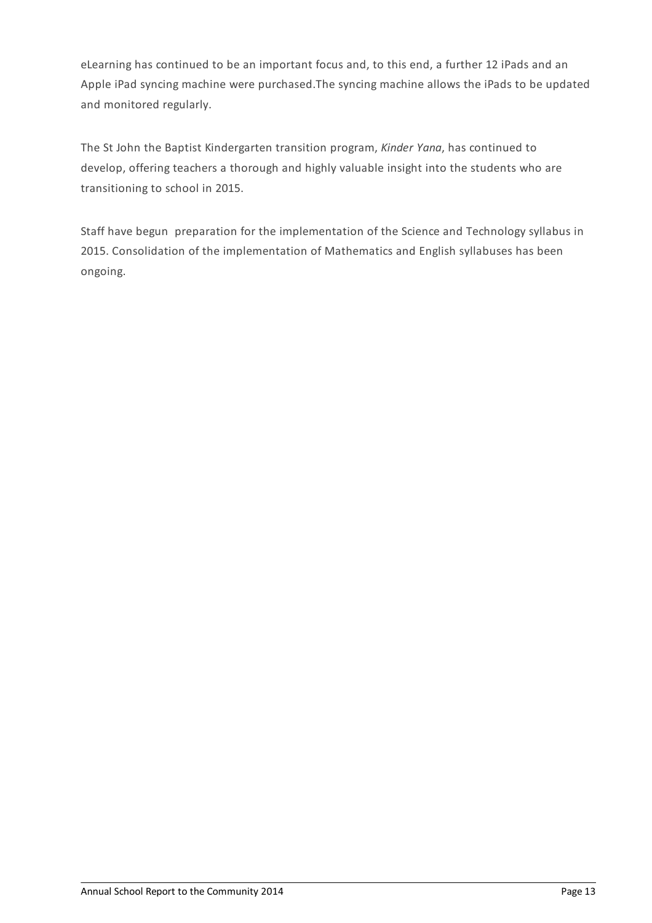eLearning has continued to be an important focus and, to this end, a further 12 iPads and an Apple iPad syncing machine were purchased.The syncing machine allows the iPads to be updated and monitored regularly.

The St John the Baptist Kindergarten transition program, *Kinder Yana*, has continued to develop, offering teachers a thorough and highly valuable insight into the students who are transitioning to school in 2015.

Staff have begun preparation for the implementation of the Science and Technology syllabus in 2015. Consolidation of the implementation of Mathematics and English syllabuses has been ongoing.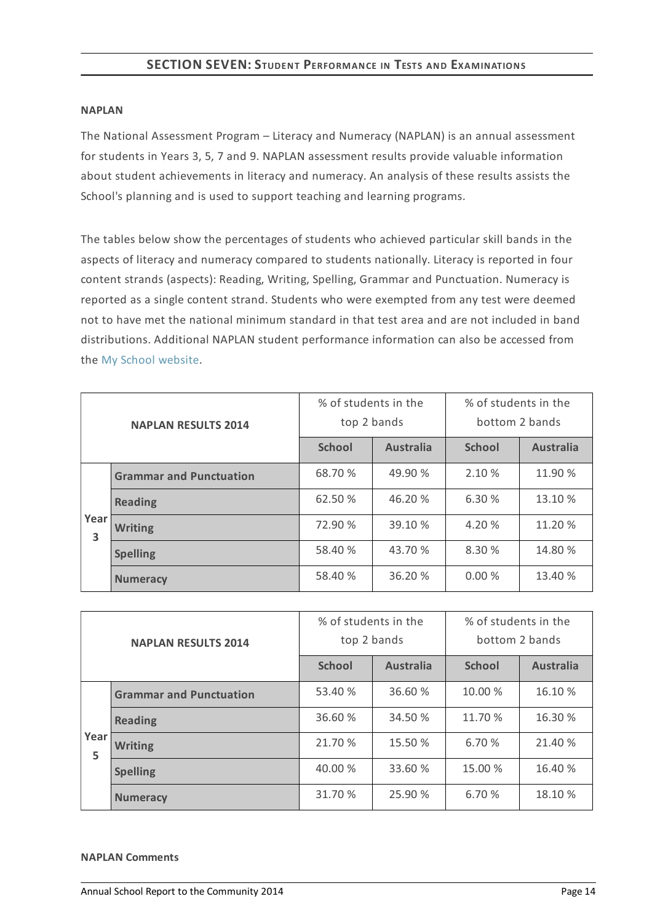## **SECTION SEVEN:STUDENT PERFORMANCE IN TESTS AND EXAMINATIONS**

#### **NAPLAN**

The National Assessment Program – Literacy and Numeracy (NAPLAN) is an annual assessment for students in Years 3, 5, 7 and 9. NAPLAN assessment results provide valuable information about student achievements in literacy and numeracy. An analysis of these results assists the School's planning and is used to support teaching and learning programs.

The tables below show the percentages of students who achieved particular skill bands in the aspects of literacy and numeracy compared to students nationally. Literacy is reported in four content strands (aspects): Reading, Writing, Spelling, Grammar and Punctuation. Numeracy is reported as a single content strand. Students who were exempted from any test were deemed not to have met the national minimum standard in that test area and are not included in band distributions. Additional NAPLAN student performance information can also be accessed from the My School [website](http://www.myschool.edu.au/).

| <b>NAPLAN RESULTS 2014</b> |                                | % of students in the<br>top 2 bands |                  | % of students in the<br>bottom 2 bands |                  |
|----------------------------|--------------------------------|-------------------------------------|------------------|----------------------------------------|------------------|
|                            |                                | <b>School</b>                       | <b>Australia</b> | <b>School</b>                          | <b>Australia</b> |
|                            | <b>Grammar and Punctuation</b> | 68.70 %                             | 49.90 %          | 2.10 %                                 | 11.90 %          |
|                            | <b>Reading</b>                 | 62.50 %                             | 46.20 %          | 6.30 %                                 | 13.10 %          |
| Year<br>3                  | <b>Writing</b>                 | 72.90 %                             | 39.10 %          | 4.20 %                                 | 11.20 %          |
|                            | <b>Spelling</b>                | 58.40 %                             | 43.70 %          | 8.30 %                                 | 14.80 %          |
|                            | <b>Numeracy</b>                | 58.40 %                             | 36.20 %          | 0.00%                                  | 13.40 %          |

| <b>NAPLAN RESULTS 2014</b> |                                | % of students in the<br>top 2 bands |                  | % of students in the<br>bottom 2 bands |                  |
|----------------------------|--------------------------------|-------------------------------------|------------------|----------------------------------------|------------------|
|                            |                                | <b>School</b>                       | <b>Australia</b> | <b>School</b>                          | <b>Australia</b> |
| Year<br>5                  | <b>Grammar and Punctuation</b> | 53.40 %                             | 36.60 %          | 10.00 %                                | 16.10 %          |
|                            | <b>Reading</b>                 | 36.60 %                             | 34.50 %          | 11.70 %                                | 16.30 %          |
|                            | <b>Writing</b>                 | 21.70 %                             | 15.50 %          | 6.70 %                                 | 21.40 %          |
|                            | <b>Spelling</b>                | 40.00 %                             | 33.60 %          | 15.00 %                                | 16.40 %          |
|                            | <b>Numeracy</b>                | 31.70 %                             | 25.90 %          | 6.70 %                                 | 18.10 %          |

#### **NAPLAN Comments**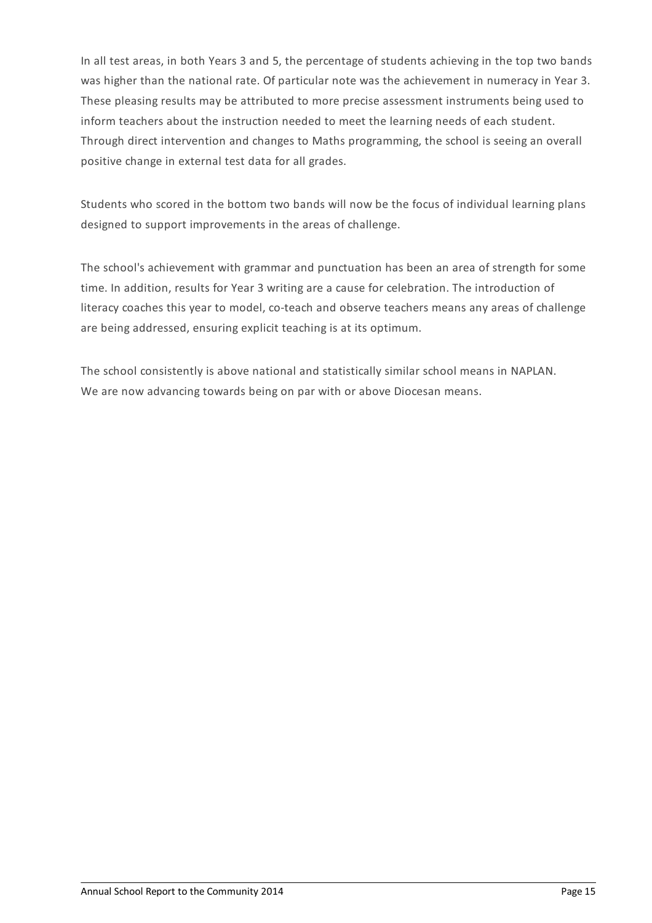In all test areas, in both Years 3 and 5, the percentage of students achieving in the top two bands was higher than the national rate. Of particular note was the achievement in numeracy in Year 3. These pleasing results may be attributed to more precise assessment instruments being used to inform teachers about the instruction needed to meet the learning needs of each student. Through direct intervention and changes to Maths programming, the school is seeing an overall positive change in external test data for all grades.

Students who scored in the bottom two bands will now be the focus of individual learning plans designed to support improvements in the areas of challenge.

The school's achievement with grammar and punctuation has been an area of strength for some time. In addition, results for Year 3 writing are a cause for celebration. The introduction of literacy coaches this year to model, co-teach and observe teachers means any areas of challenge are being addressed, ensuring explicit teaching is at its optimum.

The school consistently is above national and statistically similar school means in NAPLAN. We are now advancing towards being on par with or above Diocesan means.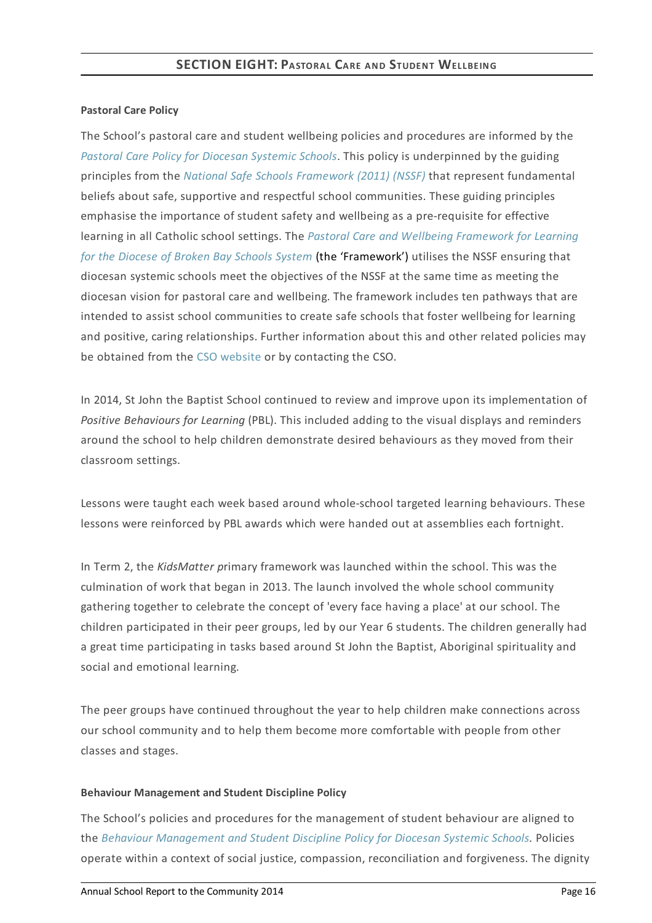### **Pastoral Care Policy**

The School's pastoral care and student wellbeing policies and procedures are informed by the *Pastoral Care Policy for [Diocesan](https://www.csodbb.catholic.edu.au/about/dsp-collection.cfm?loadref=125) Systemic Schools*. This policy is underpinned by the guiding principles from the *National Safe Schools [Framework](https://www.education.gov.au/national-safe-schools-framework-0) (2011) (NSSF)* that represent fundamental beliefs about safe, supportive and respectful school communities. These guiding principles emphasise the importance of student safety and wellbeing as a pre-requisite for effective learning in all Catholic school settings. The *Pastoral Care and Wellbeing Framework for Learning for the Diocese of Broken Bay Schools System* (the ['Framework'\)](https://www.csodbb.catholic.edu.au/studentwellbeing/dsp-default.cfm?loadref=140) utilises the NSSF ensuring that diocesan systemic schools meet the objectives of the NSSF at the same time as meeting the diocesan vision for pastoral care and wellbeing. The framework includes ten pathways that are intended to assist school communities to create safe schools that foster wellbeing for learning and positive, caring relationships. Further information about this and other related policies may be obtained from the CSO [website](https://www.csodbb.catholic.edu.au/about/dsp-collection.cfm?loadref=125) or by contacting the CSO.

In 2014, St John the Baptist School continued to review and improve upon its implementation of *Positive Behaviours for Learning* (PBL). This included adding to the visual displays and reminders around the school to help children demonstrate desired behaviours as they moved from their classroom settings.

Lessons were taught each week based around whole-school targeted learning behaviours. These lessons were reinforced by PBL awards which were handed out at assemblies each fortnight.

In Term 2, the *KidsMatter p*rimary framework was launched within the school. This was the culmination of work that began in 2013. The launch involved the whole school community gathering together to celebrate the concept of 'every face having a place' at our school. The children participated in their peer groups, led by our Year 6 students. The children generally had a great time participating in tasks based around St John the Baptist, Aboriginal spirituality and social and emotional learning.

The peer groups have continued throughout the year to help children make connections across our school community and to help them become more comfortable with people from other classes and stages.

## **Behaviour Management and Student Discipline Policy**

The School's policies and procedures for the management of student behaviour are aligned to the *Behaviour [Management](https://www.csodbb.catholic.edu.au/about/dsp-collection.cfm?loadref=125) and Student Discipline Policy for Diocesan Systemic Schools.* Policies operate within a context of social justice, compassion, reconciliation and forgiveness. The dignity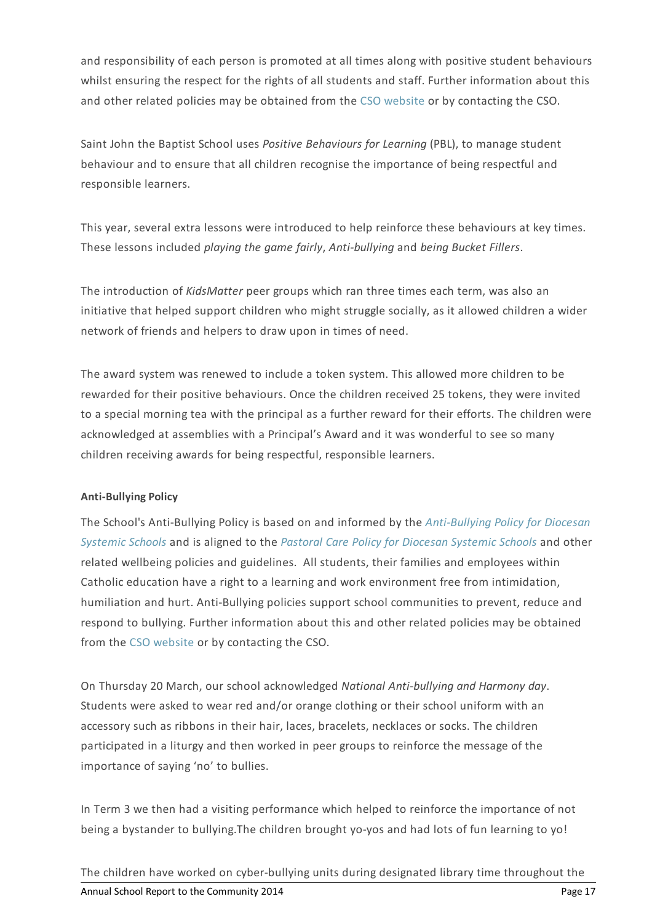and responsibility of each person is promoted at all times along with positive student behaviours whilst ensuring the respect for the rights of all students and staff. Further information about this and other related policies may be obtained from the CSO [website](https://www.csodbb.catholic.edu.au/about/dsp-collection.cfm?loadref=125) or by contacting the CSO.

Saint John the Baptist School uses *Positive Behaviours for Learning* (PBL), to manage student behaviour and to ensure that all children recognise the importance of being respectful and responsible learners.

This year, several extra lessons were introduced to help reinforce these behaviours at key times. These lessons included *playing the game fairly*, *Anti-bullying* and *being Bucket Fillers*.

The introduction of *KidsMatter* peer groups which ran three times each term, was also an initiative that helped support children who might struggle socially, as it allowed children a wider network of friends and helpers to draw upon in times of need.

The award system was renewed to include a token system. This allowed more children to be rewarded for their positive behaviours. Once the children received 25 tokens, they were invited to a special morning tea with the principal as a further reward for their efforts. The children were acknowledged at assemblies with a Principal's Award and it was wonderful to see so many children receiving awards for being respectful, responsible learners.

## **Anti-Bullying Policy**

The School's [Anti-Bullying](https://www.csodbb.catholic.edu.au/about/dsp-collection.cfm?loadref=125) Policy is based on and informed by the *Anti-Bullying Policy for Diocesan Systemic Schools* and is aligned to the *Pastoral Care Policy for [Diocesan](https://www.csodbb.catholic.edu.au/about/dsp-collection.cfm?loadref=125) Systemic Schools* and other related wellbeing policies and guidelines. All students, their families and employees within Catholic education have a right to a learning and work environment free from intimidation, humiliation and hurt. Anti-Bullying policies support school communities to prevent, reduce and respond to bullying. Further information about this and other related policies may be obtained from the CSO [website](https://www.csodbb.catholic.edu.au/about/dsp-collection.cfm?loadref=125) or by contacting the CSO.

On Thursday 20 March, our school acknowledged *National Anti-bullying and Harmony day*. Students were asked to wear red and/or orange clothing or their school uniform with an accessory such as ribbons in their hair, laces, bracelets, necklaces or socks. The children participated in a liturgy and then worked in peer groups to reinforce the message of the importance of saying 'no' to bullies.

In Term 3 we then had a visiting performance which helped to reinforce the importance of not being a bystander to bullying.The children brought yo-yos and had lots of fun learning to yo!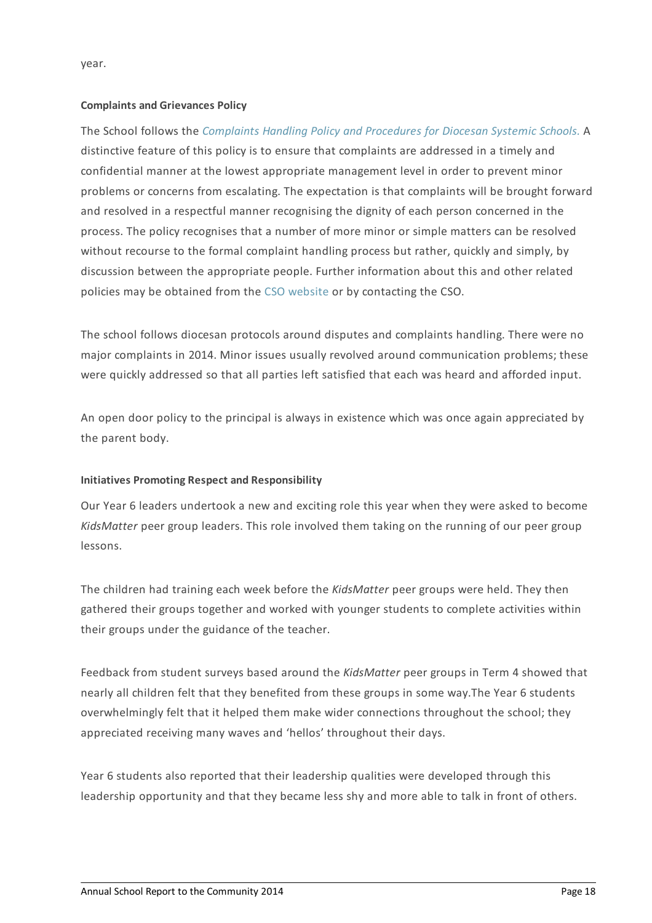year.

### **Complaints and Grievances Policy**

The School follows the *[Complaints](https://www.csodbb.catholic.edu.au/about/dsp-collection.cfm?loadref=125) Handling Policy and Procedures for Diocesan Systemic Schools.* A distinctive feature of this policy is to ensure that complaints are addressed in a timely and confidential manner at the lowest appropriate management level in order to prevent minor problems or concerns from escalating. The expectation is that complaints will be brought forward and resolved in a respectful manner recognising the dignity of each person concerned in the process. The policy recognises that a number of more minor or simple matters can be resolved without recourse to the formal complaint handling process but rather, quickly and simply, by discussion between the appropriate people. Further information about this and other related policies may be obtained from the CSO [website](https://www.csodbb.catholic.edu.au/about/dsp-collection.cfm?loadref=125) or by contacting the CSO.

The school follows diocesan protocols around disputes and complaints handling. There were no major complaints in 2014. Minor issues usually revolved around communication problems; these were quickly addressed so that all parties left satisfied that each was heard and afforded input.

An open door policy to the principal is always in existence which was once again appreciated by the parent body.

## **Initiatives Promoting Respect and Responsibility**

Our Year 6 leaders undertook a new and exciting role this year when they were asked to become *KidsMatter* peer group leaders. This role involved them taking on the running of our peer group lessons.

The children had training each week before the *KidsMatter* peer groups were held. They then gathered their groups together and worked with younger students to complete activities within their groups under the guidance of the teacher.

Feedback from student surveys based around the *KidsMatter* peer groups in Term 4 showed that nearly all children felt that they benefited from these groups in some way.The Year 6 students overwhelmingly felt that it helped them make wider connections throughout the school; they appreciated receiving many waves and 'hellos' throughout their days.

Year 6 students also reported that their leadership qualities were developed through this leadership opportunity and that they became less shy and more able to talk in front of others.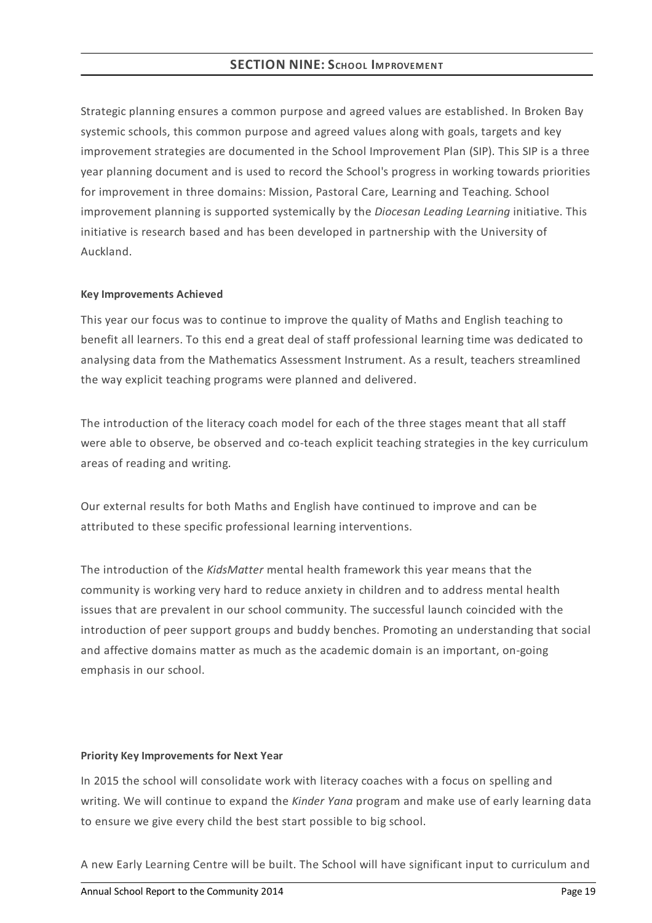## **SECTION NINE:SCHOOL IMPROVEMENT**

Strategic planning ensures a common purpose and agreed values are established. In Broken Bay systemic schools, this common purpose and agreed values along with goals, targets and key improvement strategies are documented in the School Improvement Plan (SIP). This SIP is a three year planning document and is used to record the School's progress in working towards priorities for improvement in three domains: Mission, Pastoral Care, Learning and Teaching. School improvement planning is supported systemically by the *Diocesan Leading Learning* initiative. This initiative is research based and has been developed in partnership with the University of Auckland.

### **KeyImprovements Achieved**

This year our focus was to continue to improve the quality of Maths and English teaching to benefit all learners. To this end a great deal of staff professional learning time was dedicated to analysing data from the Mathematics Assessment Instrument. As a result, teachers streamlined the way explicit teaching programs were planned and delivered.

The introduction of the literacy coach model for each of the three stages meant that all staff were able to observe, be observed and co-teach explicit teaching strategies in the key curriculum areas of reading and writing.

Our external results for both Maths and English have continued to improve and can be attributed to these specific professional learning interventions.

The introduction of the *KidsMatter* mental health framework this year means that the community is working very hard to reduce anxiety in children and to address mental health issues that are prevalent in our school community. The successful launch coincided with the introduction of peer support groups and buddy benches. Promoting an understanding that social and affective domains matter as much as the academic domain is an important, on-going emphasis in our school.

### **Priority KeyImprovements for Next Year**

In 2015 the school will consolidate work with literacy coaches with a focus on spelling and writing. We will continue to expand the *Kinder Yana* program and make use of early learning data to ensure we give every child the best start possible to big school.

A new Early Learning Centre will be built. The School will have significant input to curriculum and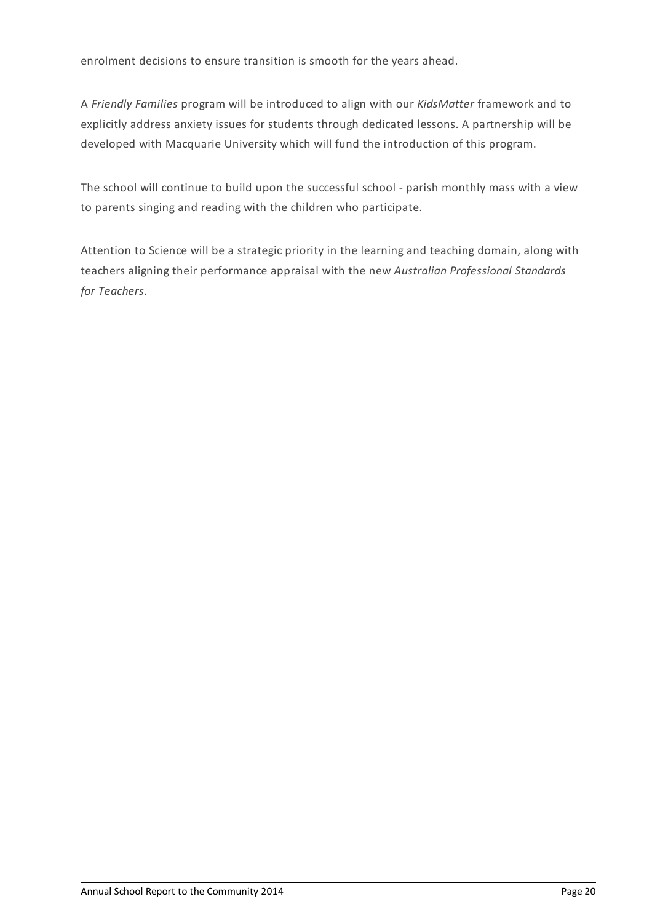enrolment decisions to ensure transition is smooth for the years ahead.

A *Friendly Families* program will be introduced to align with our *KidsMatter* framework and to explicitly address anxiety issues for students through dedicated lessons. A partnership will be developed with Macquarie University which will fund the introduction of this program.

The school will continue to build upon the successful school - parish monthly mass with a view to parents singing and reading with the children who participate.

Attention to Science will be a strategic priority in the learning and teaching domain, along with teachers aligning their performance appraisal with the new *Australian Professional Standards for Teachers*.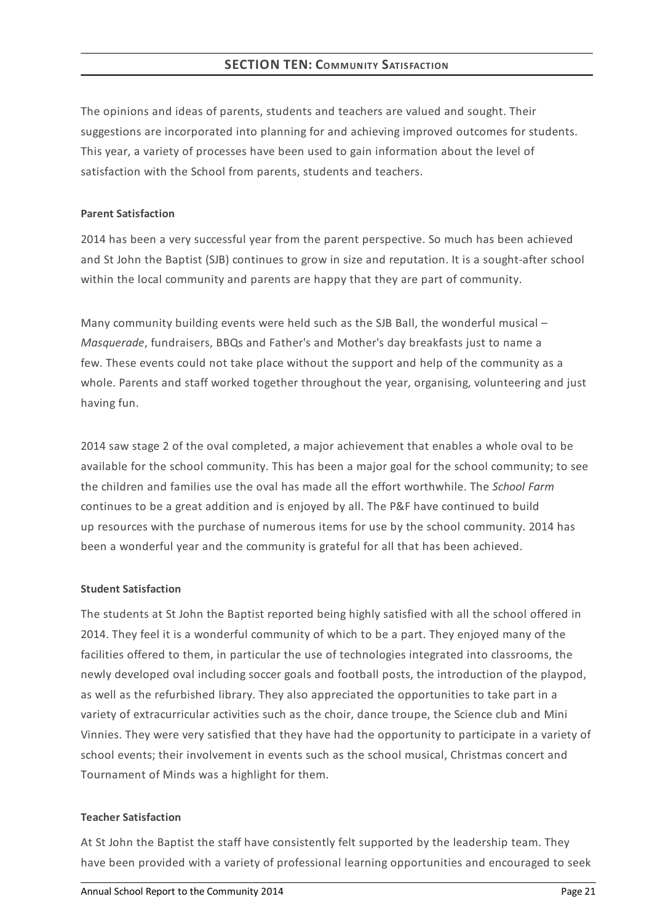The opinions and ideas of parents, students and teachers are valued and sought. Their suggestions are incorporated into planning for and achieving improved outcomes for students. This year, a variety of processes have been used to gain information about the level of satisfaction with the School from parents, students and teachers.

## **Parent Satisfaction**

2014 has been a very successful year from the parent perspective. So much has been achieved and St John the Baptist (SJB) continues to grow in size and reputation. It is a sought-after school within the local community and parents are happy that they are part of community.

Many community building events were held such as the SJB Ball, the wonderful musical  $-$ *Masquerade*, fundraisers, BBQs and Father's and Mother's day breakfasts just to name a few. These events could not take place without the support and help of the community as a whole. Parents and staff worked together throughout the year, organising, volunteering and just having fun.

2014 saw stage 2 of the oval completed, a major achievement that enables a whole oval to be available for the school community. This has been a major goal for the school community; to see the children and families use the oval has made all the effort worthwhile. The *School Farm* continues to be a great addition and is enjoyed by all. The P&F have continued to build up resources with the purchase of numerous items for use by the school community. 2014 has been a wonderful year and the community is grateful for all that has been achieved.

## **Student Satisfaction**

The students at St John the Baptist reported being highly satisfied with all the school offered in 2014. They feel it is a wonderful community of which to be a part. They enjoyed many of the facilities offered to them, in particular the use of technologies integrated into classrooms, the newly developed oval including soccer goals and football posts, the introduction of the playpod, as well as the refurbished library. They also appreciated the opportunities to take part in a variety of extracurricular activities such as the choir, dance troupe, the Science club and Mini Vinnies. They were very satisfied that they have had the opportunity to participate in a variety of school events; their involvement in events such as the school musical, Christmas concert and Tournament of Minds was a highlight for them.

## **Teacher Satisfaction**

At St John the Baptist the staff have consistently felt supported by the leadership team. They have been provided with a variety of professional learning opportunities and encouraged to seek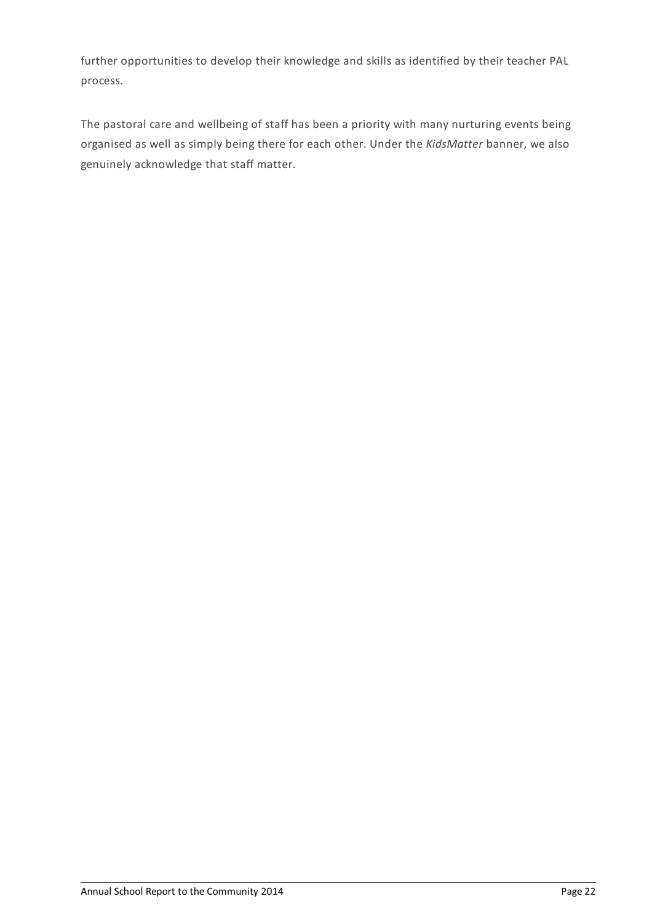further opportunities to develop their knowledge and skills as identified by their teacher PAL process.

The pastoral care and wellbeing of staff has been a priority with many nurturing events being organised as well as simply being there for each other. Under the *KidsMatter* banner, we also genuinely acknowledge that staff matter.